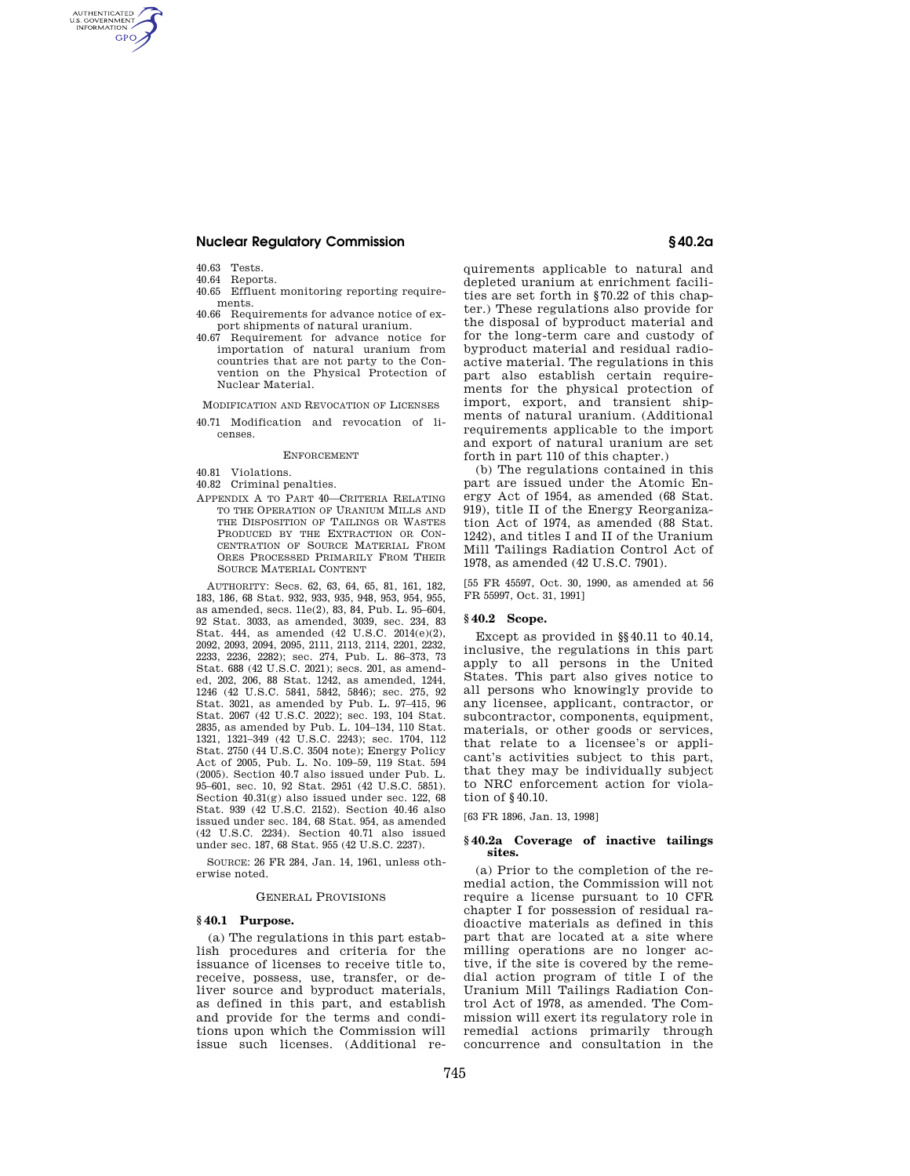# **Nuclear Regulatory Commission § 40.2a**

40.63 Tests.

AUTHENTICATED<br>U.S. GOVERNMENT<br>INFORMATION **GPO** 

- 40.64 Reports.
- 40.65 Effluent monitoring reporting requirements.
- 40.66 Requirements for advance notice of export shipments of natural uranium.
- 40.67 Requirement for advance notice for importation of natural uranium from countries that are not party to the Convention on the Physical Protection of Nuclear Material.

MODIFICATION AND REVOCATION OF LICENSES

40.71 Modification and revocation of licenses.

### **ENFORCEMENT**

- 40.81 Violations.
- 40.82 Criminal penalties.
- APPENDIX A TO PART 40—CRITERIA RELATING TO THE OPERATION OF URANIUM MILLS AND THE DISPOSITION OF TAILINGS OR WASTES PRODUCED BY THE EXTRACTION OR CON-CENTRATION OF SOURCE MATERIAL FROM ORES PROCESSED PRIMARILY FROM THEIR SOURCE MATERIAL CONTENT

AUTHORITY: Secs. 62, 63, 64, 65, 81, 161, 182, 183, 186, 68 Stat. 932, 933, 935, 948, 953, 954, 955, as amended, secs. 11e(2), 83, 84, Pub. L. 95–604, 92 Stat. 3033, as amended, 3039, sec. 234, 83 Stat. 444, as amended (42 U.S.C. 2014(e)(2), 2092, 2093, 2094, 2095, 2111, 2113, 2114, 2201, 2232, 2233, 2236, 2282); sec. 274, Pub. L. 86–373, 73 Stat. 688 (42 U.S.C. 2021); secs. 201, as amended, 202, 206, 88 Stat. 1242, as amended, 1244, 1246 (42 U.S.C. 5841, 5842, 5846); sec. 275, 92 Stat. 3021, as amended by Pub. L. 97–415, 96 Stat. 2067 (42 U.S.C. 2022); sec. 193, 104 Stat. 2835, as amended by Pub. L. 104–134, 110 Stat. 1321, 1321–349 (42 U.S.C. 2243); sec. 1704, 112 Stat. 2750 (44 U.S.C. 3504 note); Energy Policy Act of 2005, Pub. L. No. 109–59, 119 Stat. 594 (2005). Section 40.7 also issued under Pub. L. 95–601, sec. 10, 92 Stat. 2951 (42 U.S.C. 5851). Section 40.31(g) also issued under sec. 122, 68 Stat. 939 (42 U.S.C. 2152). Section 40.46 also issued under sec. 184, 68 Stat. 954, as amended (42 U.S.C. 2234). Section 40.71 also issued under sec. 187, 68 Stat. 955 (42 U.S.C. 2237).

SOURCE: 26 FR 284, Jan. 14, 1961, unless otherwise noted.

#### GENERAL PROVISIONS

# **§ 40.1 Purpose.**

(a) The regulations in this part establish procedures and criteria for the issuance of licenses to receive title to, receive, possess, use, transfer, or deliver source and byproduct materials, as defined in this part, and establish and provide for the terms and conditions upon which the Commission will issue such licenses. (Additional re-

quirements applicable to natural and depleted uranium at enrichment facilities are set forth in §70.22 of this chapter.) These regulations also provide for the disposal of byproduct material and for the long-term care and custody of byproduct material and residual radioactive material. The regulations in this part also establish certain requirements for the physical protection of import, export, and transient shipments of natural uranium. (Additional requirements applicable to the import and export of natural uranium are set forth in part 110 of this chapter.)

(b) The regulations contained in this part are issued under the Atomic Energy Act of 1954, as amended (68 Stat. 919), title II of the Energy Reorganization Act of 1974, as amended (88 Stat. 1242), and titles I and II of the Uranium Mill Tailings Radiation Control Act of 1978, as amended (42 U.S.C. 7901).

[55 FR 45597, Oct. 30, 1990, as amended at 56 FR 55997, Oct. 31, 1991]

# **§ 40.2 Scope.**

Except as provided in §§40.11 to 40.14, inclusive, the regulations in this part apply to all persons in the United States. This part also gives notice to all persons who knowingly provide to any licensee, applicant, contractor, or subcontractor, components, equipment, materials, or other goods or services, that relate to a licensee's or applicant's activities subject to this part, that they may be individually subject to NRC enforcement action for violation of §40.10.

[63 FR 1896, Jan. 13, 1998]

#### **§ 40.2a Coverage of inactive tailings sites.**

(a) Prior to the completion of the remedial action, the Commission will not require a license pursuant to 10 CFR chapter I for possession of residual radioactive materials as defined in this part that are located at a site where milling operations are no longer active, if the site is covered by the remedial action program of title I of the Uranium Mill Tailings Radiation Control Act of 1978, as amended. The Commission will exert its regulatory role in remedial actions primarily through concurrence and consultation in the